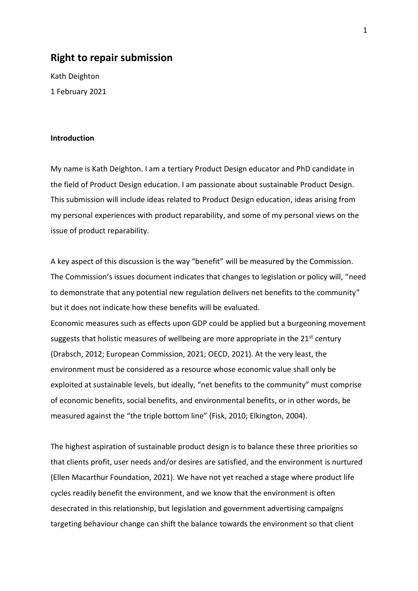### **Right to repair submission**

Kath Deighton 1 February 2021

### **Introduction**

My name is Kath Deighton. I am a tertiary Product Design educator and PhD candidate in the field of Product Design education. I am passionate about sustainable Product Design. This submission will include ideas related to Product Design education, ideas arising from my personal experiences with product reparability, and some of my personal views on the issue of product reparability.

A key aspect of this discussion is the way "benefit" will be measured by the Commission. The Commission's issues document indicates that changes to legislation or policy will, "need to demonstrate that any potential new regulation delivers net benefits to the community" but it does not indicate how these benefits will be evaluated. Economic measures such as effects upon GDP could be applied but a burgeoning movement suggests that holistic measures of wellbeing are more appropriate in the 21<sup>st</sup> century (Drabsch, 2012; European Commission, 2021; OECD, 2021). At the very least, the environment must be considered as a resource whose economic value shall only be exploited at sustainable levels, but ideally, "net benefits to the community" must comprise of economic benefits, social benefits, and environmental benefits, or in other words, be measured against the "the triple bottom line" (Fisk, 2010; Elkington, 2004).

The highest aspiration of sustainable product design is to balance these three priorities so that clients profit, user needs and/or desires are satisfied, and the environment is nurtured (Ellen Macarthur Foundation, 2021). We have not yet reached a stage where product life cycles readily benefit the environment, and we know that the environment is often desecrated in this relationship, but legislation and government advertising campaigns targeting behaviour change can shift the balance towards the environment so that client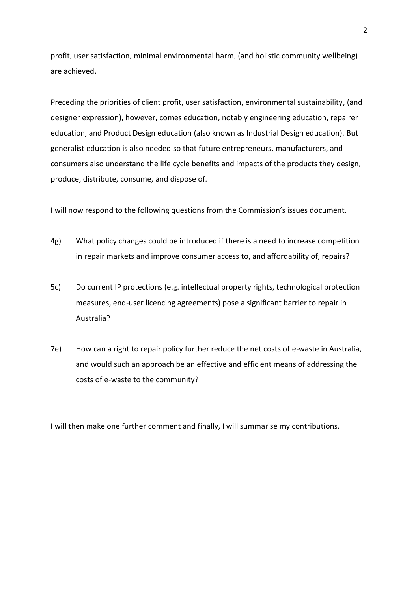profit, user satisfaction, minimal environmental harm, (and holistic community wellbeing) are achieved.

Preceding the priorities of client profit, user satisfaction, environmental sustainability, (and designer expression), however, comes education, notably engineering education, repairer education, and Product Design education (also known as Industrial Design education). But generalist education is also needed so that future entrepreneurs, manufacturers, and consumers also understand the life cycle benefits and impacts of the products they design, produce, distribute, consume, and dispose of.

I will now respond to the following questions from the Commission's issues document.

- 4g) What policy changes could be introduced if there is a need to increase competition in repair markets and improve consumer access to, and affordability of, repairs?
- 5c) Do current IP protections (e.g. intellectual property rights, technological protection measures, end-user licencing agreements) pose a significant barrier to repair in Australia?
- 7e) How can a right to repair policy further reduce the net costs of e-waste in Australia, and would such an approach be an effective and efficient means of addressing the costs of e-waste to the community?

I will then make one further comment and finally, I will summarise my contributions.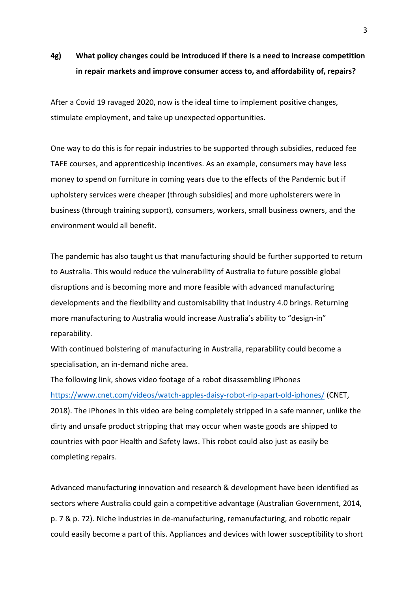### **4g) What policy changes could be introduced if there is a need to increase competition in repair markets and improve consumer access to, and affordability of, repairs?**

After a Covid 19 ravaged 2020, now is the ideal time to implement positive changes, stimulate employment, and take up unexpected opportunities.

One way to do this is for repair industries to be supported through subsidies, reduced fee TAFE courses, and apprenticeship incentives. As an example, consumers may have less money to spend on furniture in coming years due to the effects of the Pandemic but if upholstery services were cheaper (through subsidies) and more upholsterers were in business (through training support), consumers, workers, small business owners, and the environment would all benefit.

The pandemic has also taught us that manufacturing should be further supported to return to Australia. This would reduce the vulnerability of Australia to future possible global disruptions and is becoming more and more feasible with advanced manufacturing developments and the flexibility and customisability that Industry 4.0 brings. Returning more manufacturing to Australia would increase Australia's ability to "design-in" reparability.

With continued bolstering of manufacturing in Australia, reparability could become a specialisation, an in-demand niche area.

The following link, shows video footage of a robot disassembling iPhones <https://www.cnet.com/videos/watch-apples-daisy-robot-rip-apart-old-iphones/> (CNET, 2018). The iPhones in this video are being completely stripped in a safe manner, unlike the dirty and unsafe product stripping that may occur when waste goods are shipped to countries with poor Health and Safety laws. This robot could also just as easily be completing repairs.

Advanced manufacturing innovation and research & development have been identified as sectors where Australia could gain a competitive advantage (Australian Government, 2014, p. 7 & p. 72). Niche industries in de-manufacturing, remanufacturing, and robotic repair could easily become a part of this. Appliances and devices with lower susceptibility to short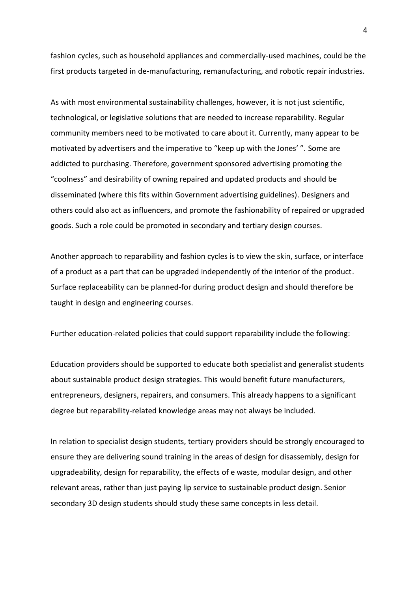fashion cycles, such as household appliances and commercially-used machines, could be the first products targeted in de-manufacturing, remanufacturing, and robotic repair industries.

As with most environmental sustainability challenges, however, it is not just scientific, technological, or legislative solutions that are needed to increase reparability. Regular community members need to be motivated to care about it. Currently, many appear to be motivated by advertisers and the imperative to "keep up with the Jones' ". Some are addicted to purchasing. Therefore, government sponsored advertising promoting the "coolness" and desirability of owning repaired and updated products and should be disseminated (where this fits within Government advertising guidelines). Designers and others could also act as influencers, and promote the fashionability of repaired or upgraded goods. Such a role could be promoted in secondary and tertiary design courses.

Another approach to reparability and fashion cycles is to view the skin, surface, or interface of a product as a part that can be upgraded independently of the interior of the product. Surface replaceability can be planned-for during product design and should therefore be taught in design and engineering courses.

Further education-related policies that could support reparability include the following:

Education providers should be supported to educate both specialist and generalist students about sustainable product design strategies. This would benefit future manufacturers, entrepreneurs, designers, repairers, and consumers. This already happens to a significant degree but reparability-related knowledge areas may not always be included.

In relation to specialist design students, tertiary providers should be strongly encouraged to ensure they are delivering sound training in the areas of design for disassembly, design for upgradeability, design for reparability, the effects of e waste, modular design, and other relevant areas, rather than just paying lip service to sustainable product design. Senior secondary 3D design students should study these same concepts in less detail.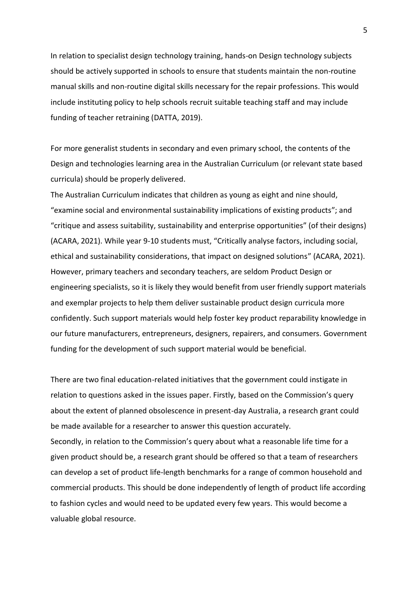In relation to specialist design technology training, hands-on Design technology subjects should be actively supported in schools to ensure that students maintain the non-routine manual skills and non-routine digital skills necessary for the repair professions. This would include instituting policy to help schools recruit suitable teaching staff and may include funding of teacher retraining (DATTA, 2019).

For more generalist students in secondary and even primary school, the contents of the Design and technologies learning area in the Australian Curriculum (or relevant state based curricula) should be properly delivered.

The Australian Curriculum indicates that children as young as eight and nine should, "examine social and environmental sustainability implications of existing products"; and "critique and assess suitability, sustainability and enterprise opportunities" (of their designs) (ACARA, 2021). While year 9-10 students must, "Critically analyse factors, including social, ethical and sustainability considerations, that impact on designed solutions" (ACARA, 2021). However, primary teachers and secondary teachers, are seldom Product Design or engineering specialists, so it is likely they would benefit from user friendly support materials and exemplar projects to help them deliver sustainable product design curricula more confidently. Such support materials would help foster key product reparability knowledge in our future manufacturers, entrepreneurs, designers, repairers, and consumers. Government funding for the development of such support material would be beneficial.

There are two final education-related initiatives that the government could instigate in relation to questions asked in the issues paper. Firstly, based on the Commission's query about the extent of planned obsolescence in present-day Australia, a research grant could be made available for a researcher to answer this question accurately. Secondly, in relation to the Commission's query about what a reasonable life time for a given product should be, a research grant should be offered so that a team of researchers can develop a set of product life-length benchmarks for a range of common household and commercial products. This should be done independently of length of product life according to fashion cycles and would need to be updated every few years. This would become a valuable global resource.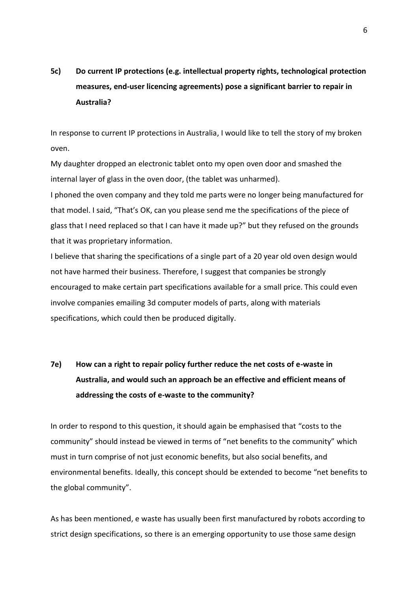## **5c) Do current IP protections (e.g. intellectual property rights, technological protection measures, end-user licencing agreements) pose a significant barrier to repair in Australia?**

In response to current IP protections in Australia, I would like to tell the story of my broken oven.

My daughter dropped an electronic tablet onto my open oven door and smashed the internal layer of glass in the oven door, (the tablet was unharmed).

I phoned the oven company and they told me parts were no longer being manufactured for that model. I said, "That's OK, can you please send me the specifications of the piece of glass that I need replaced so that I can have it made up?" but they refused on the grounds that it was proprietary information.

I believe that sharing the specifications of a single part of a 20 year old oven design would not have harmed their business. Therefore, I suggest that companies be strongly encouraged to make certain part specifications available for a small price. This could even involve companies emailing 3d computer models of parts, along with materials specifications, which could then be produced digitally.

# **7e) How can a right to repair policy further reduce the net costs of e-waste in Australia, and would such an approach be an effective and efficient means of addressing the costs of e-waste to the community?**

In order to respond to this question, it should again be emphasised that "costs to the community" should instead be viewed in terms of "net benefits to the community" which must in turn comprise of not just economic benefits, but also social benefits, and environmental benefits. Ideally, this concept should be extended to become "net benefits to the global community".

As has been mentioned, e waste has usually been first manufactured by robots according to strict design specifications, so there is an emerging opportunity to use those same design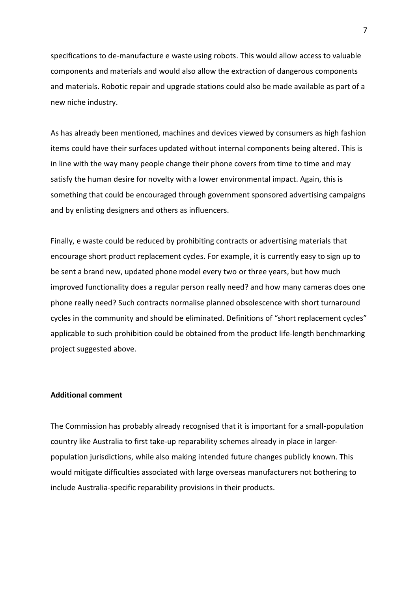specifications to de-manufacture e waste using robots. This would allow access to valuable components and materials and would also allow the extraction of dangerous components and materials. Robotic repair and upgrade stations could also be made available as part of a new niche industry.

As has already been mentioned, machines and devices viewed by consumers as high fashion items could have their surfaces updated without internal components being altered. This is in line with the way many people change their phone covers from time to time and may satisfy the human desire for novelty with a lower environmental impact. Again, this is something that could be encouraged through government sponsored advertising campaigns and by enlisting designers and others as influencers.

Finally, e waste could be reduced by prohibiting contracts or advertising materials that encourage short product replacement cycles. For example, it is currently easy to sign up to be sent a brand new, updated phone model every two or three years, but how much improved functionality does a regular person really need? and how many cameras does one phone really need? Such contracts normalise planned obsolescence with short turnaround cycles in the community and should be eliminated. Definitions of "short replacement cycles" applicable to such prohibition could be obtained from the product life-length benchmarking project suggested above.

### **Additional comment**

The Commission has probably already recognised that it is important for a small-population country like Australia to first take-up reparability schemes already in place in largerpopulation jurisdictions, while also making intended future changes publicly known. This would mitigate difficulties associated with large overseas manufacturers not bothering to include Australia-specific reparability provisions in their products.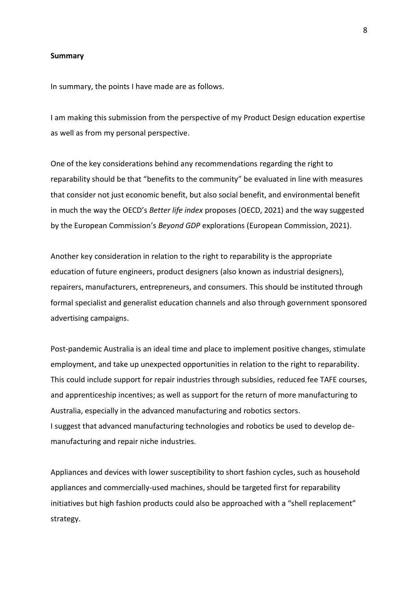#### **Summary**

In summary, the points I have made are as follows.

I am making this submission from the perspective of my Product Design education expertise as well as from my personal perspective.

One of the key considerations behind any recommendations regarding the right to reparability should be that "benefits to the community" be evaluated in line with measures that consider not just economic benefit, but also social benefit, and environmental benefit in much the way the OECD's *Better life index* proposes (OECD, 2021) and the way suggested by the European Commission's *Beyond GDP* explorations (European Commission, 2021).

Another key consideration in relation to the right to reparability is the appropriate education of future engineers, product designers (also known as industrial designers), repairers, manufacturers, entrepreneurs, and consumers. This should be instituted through formal specialist and generalist education channels and also through government sponsored advertising campaigns.

Post-pandemic Australia is an ideal time and place to implement positive changes, stimulate employment, and take up unexpected opportunities in relation to the right to reparability. This could include support for repair industries through subsidies, reduced fee TAFE courses, and apprenticeship incentives; as well as support for the return of more manufacturing to Australia, especially in the advanced manufacturing and robotics sectors. I suggest that advanced manufacturing technologies and robotics be used to develop demanufacturing and repair niche industries.

Appliances and devices with lower susceptibility to short fashion cycles, such as household appliances and commercially-used machines, should be targeted first for reparability initiatives but high fashion products could also be approached with a "shell replacement" strategy.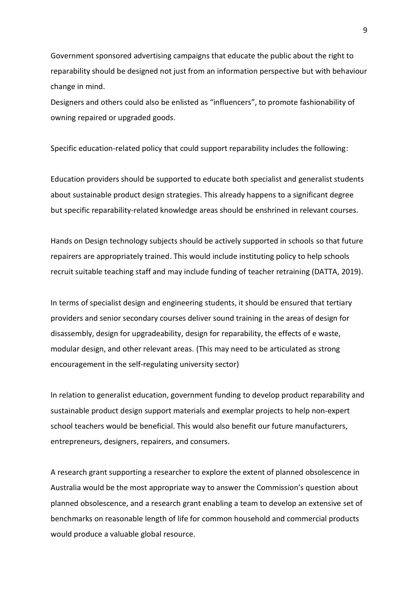Government sponsored advertising campaigns that educate the public about the right to reparability should be designed not just from an information perspective but with behaviour change in mind.

Designers and others could also be enlisted as "influencers", to promote fashionability of owning repaired or upgraded goods.

Specific education-related policy that could support reparability includes the following:

Education providers should be supported to educate both specialist and generalist students about sustainable product design strategies. This already happens to a significant degree but specific reparability-related knowledge areas should be enshrined in relevant courses.

Hands on Design technology subjects should be actively supported in schools so that future repairers are appropriately trained. This would include instituting policy to help schools recruit suitable teaching staff and may include funding of teacher retraining (DATTA, 2019).

In terms of specialist design and engineering students, it should be ensured that tertiary providers and senior secondary courses deliver sound training in the areas of design for disassembly, design for upgradeability, design for reparability, the effects of e waste, modular design, and other relevant areas. (This may need to be articulated as strong encouragement in the self-regulating university sector)

In relation to generalist education, government funding to develop product reparability and sustainable product design support materials and exemplar projects to help non-expert school teachers would be beneficial. This would also benefit our future manufacturers, entrepreneurs, designers, repairers, and consumers.

A research grant supporting a researcher to explore the extent of planned obsolescence in Australia would be the most appropriate way to answer the Commission's question about planned obsolescence, and a research grant enabling a team to develop an extensive set of benchmarks on reasonable length of life for common household and commercial products would produce a valuable global resource.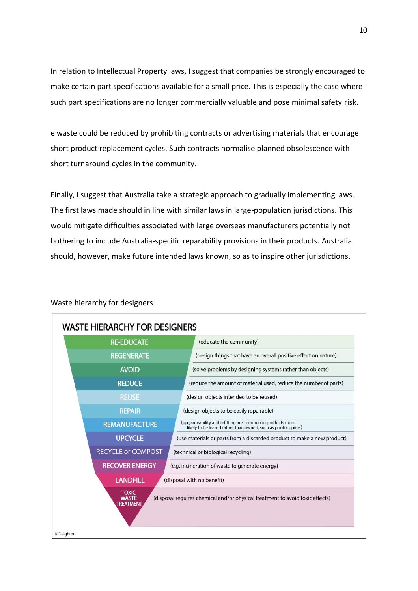In relation to Intellectual Property laws, I suggest that companies be strongly encouraged to make certain part specifications available for a small price. This is especially the case where such part specifications are no longer commercially valuable and pose minimal safety risk.

e waste could be reduced by prohibiting contracts or advertising materials that encourage short product replacement cycles. Such contracts normalise planned obsolescence with short turnaround cycles in the community.

Finally, I suggest that Australia take a strategic approach to gradually implementing laws. The first laws made should in line with similar laws in large-population jurisdictions. This would mitigate difficulties associated with large overseas manufacturers potentially not bothering to include Australia-specific reparability provisions in their products. Australia should, however, make future intended laws known, so as to inspire other jurisdictions.



### Waste hierarchy for designers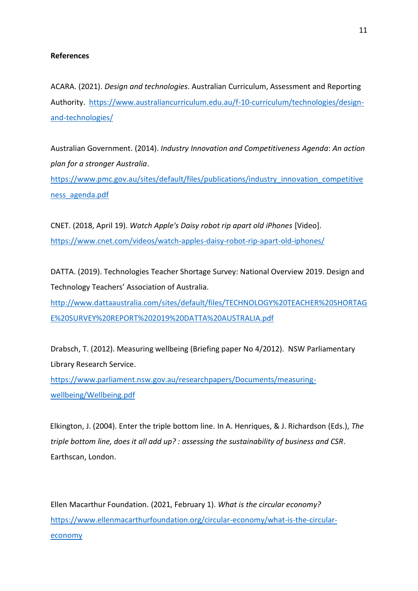### **References**

ACARA. (2021). *Design and technologies*. Australian Curriculum, Assessment and Reporting Authority. [https://www.australiancurriculum.edu.au/f-10-curriculum/technologies/design](https://www.australiancurriculum.edu.au/f-10-curriculum/technologies/design-and-technologies/)[and-technologies/](https://www.australiancurriculum.edu.au/f-10-curriculum/technologies/design-and-technologies/)

Australian Government. (2014). *Industry Innovation and Competitiveness Agenda*: *An action plan for a stronger Australia*.

[https://www.pmc.gov.au/sites/default/files/publications/industry\\_innovation\\_competitive](https://www.pmc.gov.au/sites/default/files/publications/industry_innovation_competitiveness_agenda.pdf) [ness\\_agenda.pdf](https://www.pmc.gov.au/sites/default/files/publications/industry_innovation_competitiveness_agenda.pdf)

CNET. (2018, April 19). *Watch Apple's Daisy robot rip apart old iPhones* [Video]. <https://www.cnet.com/videos/watch-apples-daisy-robot-rip-apart-old-iphones/>

DATTA. (2019). Technologies Teacher Shortage Survey: National Overview 2019. Design and Technology Teachers' Association of Australia. [http://www.dattaaustralia.com/sites/default/files/TECHNOLOGY%20TEACHER%20SHORTAG](http://www.dattaaustralia.com/sites/default/files/TECHNOLOGY%20TEACHER%20SHORTAGE%20SURVEY%20REPORT%202019%20DATTA%20AUSTRALIA.pdf) [E%20SURVEY%20REPORT%202019%20DATTA%20AUSTRALIA.pdf](http://www.dattaaustralia.com/sites/default/files/TECHNOLOGY%20TEACHER%20SHORTAGE%20SURVEY%20REPORT%202019%20DATTA%20AUSTRALIA.pdf)

Drabsch, T. (2012). Measuring wellbeing (Briefing paper No 4/2012). NSW Parliamentary Library Research Service.

[https://www.parliament.nsw.gov.au/researchpapers/Documents/measuring](https://www.parliament.nsw.gov.au/researchpapers/Documents/measuring-wellbeing/Wellbeing.pdf)[wellbeing/Wellbeing.pdf](https://www.parliament.nsw.gov.au/researchpapers/Documents/measuring-wellbeing/Wellbeing.pdf)

Elkington, J. (2004). Enter the triple bottom line. In A. Henriques, & J. Richardson (Eds.), *The triple bottom line, does it all add up? : assessing the sustainability of business and CSR.* Earthscan, London.

Ellen Macarthur Foundation. (2021, February 1). *What is the circular economy?* [https://www.ellenmacarthurfoundation.org/circular-economy/what-is-the-circular](https://www.ellenmacarthurfoundation.org/circular-economy/what-is-the-circular-economy)[economy](https://www.ellenmacarthurfoundation.org/circular-economy/what-is-the-circular-economy)